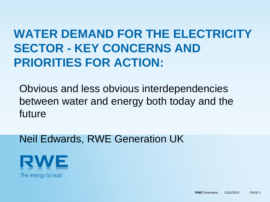# **WATER DEMAND FOR THE ELECTRICITY SECTOR - KEY CONCERNS AND PRIORITIES FOR ACTION:**

Obvious and less obvious interdependencies between water and energy both today and the future

Neil Edwards, RWE Generation UK

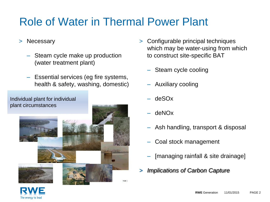## Role of Water in Thermal Power Plant

- > Necessary
	- Steam cycle make up production (water treatment plant)
	- Essential services (eg fire systems, health & safety, washing, domestic)

Individual plant for individual plant circumstances



- > Configurable principal techniques which may be water-using from which to construct site-specific BAT
	- Steam cycle cooling
	- Auxiliary cooling
	- deSOx
	- deNOx
	- Ash handling, transport & disposal
	- Coal stock management
	- [managing rainfall & site drainage]
- > *Implications of Carbon Capture*

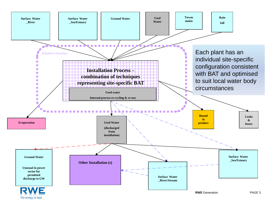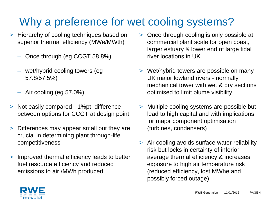## Why a preference for wet cooling systems?

- > Hierarchy of cooling techniques based on superior thermal efficiency (MWe/MWth)
	- Once through (eg CCGT 58.8%)
	- wet/hybrid cooling towers (eg 57.8/57.5%)
	- Air cooling (eg 57.0%)
- > Not easily compared 1%pt difference between options for CCGT at design point
- > Differences may appear small but they are crucial in determining plant through-life competitiveness
- > Improved thermal efficiency leads to better fuel resource efficiency and reduced emissions to air /MWh produced
- > Once through cooling is only possible at commercial plant scale for open coast, larger estuary & lower end of large tidal river locations in UK
- > Wet/hybrid towers are possible on many UK major lowland rivers - normally mechanical tower with wet & dry sections optimised to limit plume visibility
- > Multiple cooling systems are possible but lead to high capital and with implications for major component optimisation (turbines, condensers)
- > Air cooling avoids surface water reliability risk but locks in certainty of inferior average thermal efficiency & increases exposure to high air temperature risk (reduced efficiency, lost MWhe and possibly forced outage)

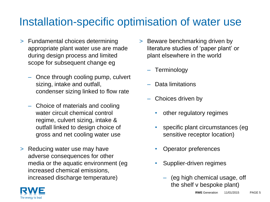### Installation-specific optimisation of water use

- > Fundamental choices determining appropriate plant water use are made during design process and limited scope for subsequent change eg
	- Once through cooling pump, culvert sizing, intake and outfall, condenser sizing linked to flow rate
	- Choice of materials and cooling water circuit chemical control regime, culvert sizing, intake & outfall linked to design choice of gross and net cooling water use
- > Reducing water use may have adverse consequences for other media or the aquatic environment (eg increased chemical emissions, increased discharge temperature)
- > Beware benchmarking driven by literature studies of 'paper plant' or plant elsewhere in the world
	- Terminology
	- Data limitations
	- Choices driven by
		- other regulatory regimes
		- specific plant circumstances (eg sensitive receptor location)
		- Operator preferences
		- Supplier-driven regimes
			- (eg high chemical usage, off the shelf v bespoke plant)

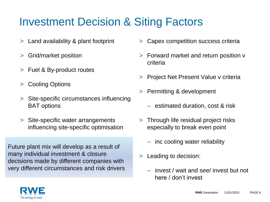## Investment Decision & Siting Factors

- > Land availability & plant footprint
- > Grid/market position
- > Fuel & By-product routes
- > Cooling Options
- > Site-specific circumstances influencing BAT options
- > Site-specific water arrangements influencing site-specific optimisation

Future plant mix will develop as a result of many individual investment & closure decisions made by different companies with very different circumstances and risk drivers

- > Capex competition success criteria
- > Forward market and return position v criteria
- > Project Net Present Value v criteria
- > Permitting & development
	- estimated duration, cost & risk
- > Through life residual project risks especially to break even point
	- inc cooling water reliability
- > Leading to decision:
	- invest / wait and see/ invest but not here / don't invest

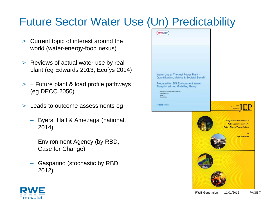## Future Sector Water Use (Un) Predictability

- > Current topic of interest around the world (water-energy-food nexus)
- > Reviews of actual water use by real plant (eg Edwards 2013, Ecofys 2014)
- > + Future plant & load profile pathways (eg DECC 2050)
- > Leads to outcome assessments eg
	- Byers, Hall & Amezaga (national, 2014)
	- Environment Agency (by RBD, Case for Change)
	- Gasparino (stochastic by RBD 2012)



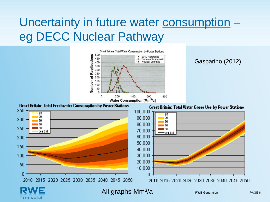## Uncertainty in future water consumption – eg DECC Nuclear Pathway



#### Gasparino (2012)



The energy to lead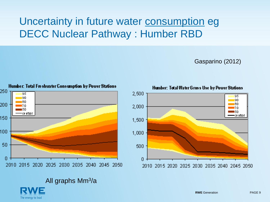#### Uncertainty in future water consumption eg DECC Nuclear Pathway : Humber RBD

Gasparino (2012)



The energy to lead



Humber: Total Water Gross Use by Power Stations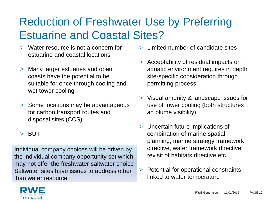## Reduction of Freshwater Use by Preferring Estuarine and Coastal Sites?

- > Water resource is not a concern for estuarine and coastal locations
- > Many larger estuaries and open coasts have the potential to be suitable for once through cooling and wet tower cooling
- > Some locations may be advantageous for carbon transport routes and disposal sites (CCS)
- > BUT

Individual company choices will be driven by the individual company opportunity set which may not offer the freshwater saltwater choice Saltwater sites have issues to address other than water resource.

- > Limited number of candidate sites
- > Acceptability of residual impacts on aquatic environment requires in depth site-specific consideration through permitting process
- > Visual amenity & landscape issues for use of tower cooling (both structures ad plume visibility)
- > Uncertain future implications of combination of marine spatial planning, marine strategy framework directive, water framework directive, revisit of habitats directive etc.
- > Potential for operational constraints linked to water temperature